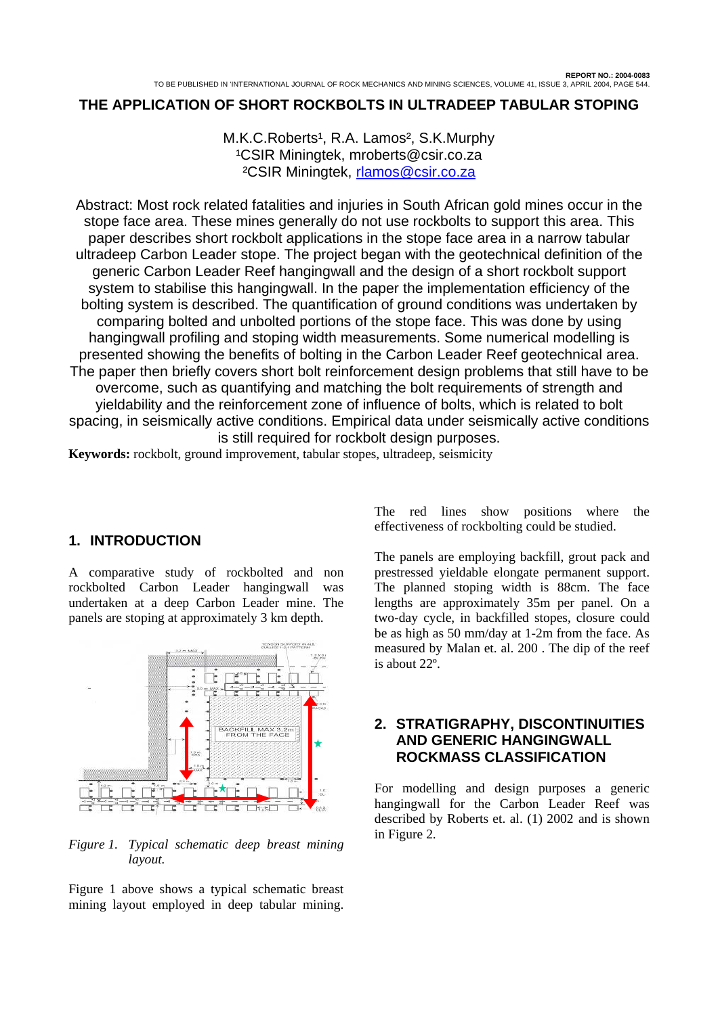#### **THE APPLICATION OF SHORT ROCKBOLTS IN ULTRADEEP TABULAR STOPING**

# M.K.C.Roberts<sup>1</sup>, R.A. Lamos<sup>2</sup>, S.K.Murphy <sup>1</sup>CSIR Miningtek, mroberts@csir.co.za ²CSIR Miningtek, rlamos@csir.co.za

Abstract: Most rock related fatalities and injuries in South African gold mines occur in the stope face area. These mines generally do not use rockbolts to support this area. This paper describes short rockbolt applications in the stope face area in a narrow tabular ultradeep Carbon Leader stope. The project began with the geotechnical definition of the generic Carbon Leader Reef hangingwall and the design of a short rockbolt support system to stabilise this hangingwall. In the paper the implementation efficiency of the bolting system is described. The quantification of ground conditions was undertaken by comparing bolted and unbolted portions of the stope face. This was done by using hangingwall profiling and stoping width measurements. Some numerical modelling is presented showing the benefits of bolting in the Carbon Leader Reef geotechnical area. The paper then briefly covers short bolt reinforcement design problems that still have to be overcome, such as quantifying and matching the bolt requirements of strength and yieldability and the reinforcement zone of influence of bolts, which is related to bolt spacing, in seismically active conditions. Empirical data under seismically active conditions is still required for rockbolt design purposes.

**Keywords:** rockbolt, ground improvement, tabular stopes, ultradeep, seismicity

# **1. INTRODUCTION**

A comparative study of rockbolted and non rockbolted Carbon Leader hangingwall was undertaken at a deep Carbon Leader mine. The panels are stoping at approximately 3 km depth.



*Figure 1. Typical schematic deep breast mining layout.* 

Figure 1 above shows a typical schematic breast mining layout employed in deep tabular mining.

The red lines show positions where the effectiveness of rockbolting could be studied.

The panels are employing backfill, grout pack and prestressed yieldable elongate permanent support. The planned stoping width is 88cm. The face lengths are approximately 35m per panel. On a two-day cycle, in backfilled stopes, closure could be as high as 50 mm/day at 1-2m from the face. As measured by Malan et. al. 200 . The dip of the reef is about 22º.

## **2. STRATIGRAPHY, DISCONTINUITIES AND GENERIC HANGINGWALL ROCKMASS CLASSIFICATION**

For modelling and design purposes a generic hangingwall for the Carbon Leader Reef was described by Roberts et. al. (1) 2002 and is shown in Figure 2.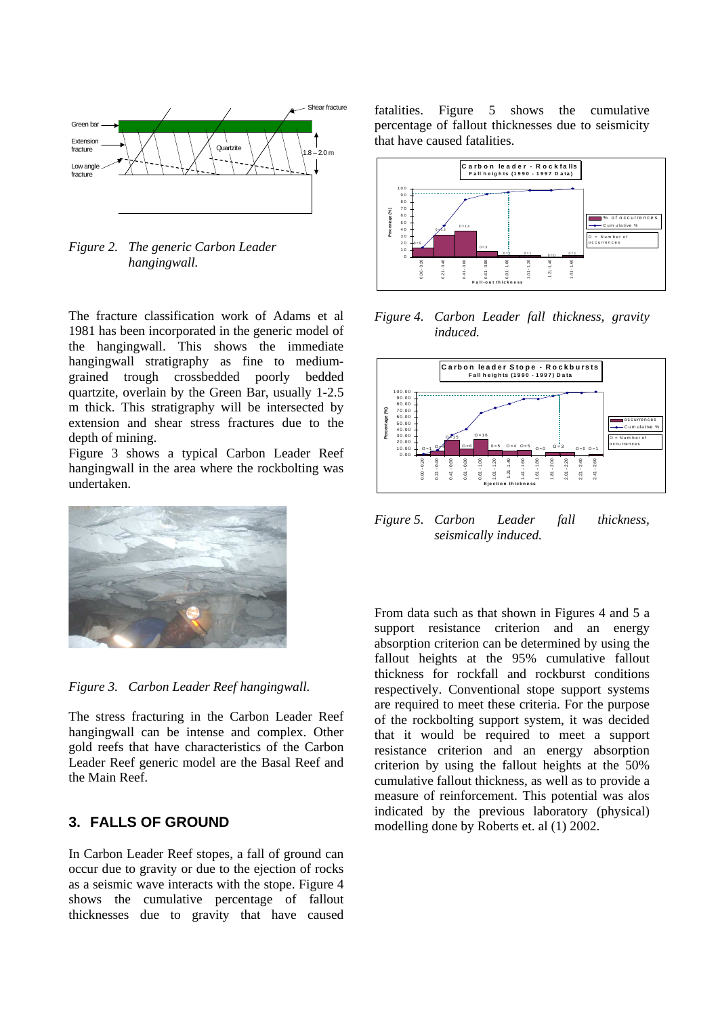

*Figure 2. The generic Carbon Leader hangingwall.* 

The fracture classification work of Adams et al 1981 has been incorporated in the generic model of the hangingwall. This shows the immediate hangingwall stratigraphy as fine to mediumgrained trough crossbedded poorly bedded quartzite, overlain by the Green Bar, usually 1-2.5 m thick. This stratigraphy will be intersected by extension and shear stress fractures due to the depth of mining.

Figure 3 shows a typical Carbon Leader Reef hangingwall in the area where the rockbolting was undertaken.



*Figure 3. Carbon Leader Reef hangingwall.* 

The stress fracturing in the Carbon Leader Reef hangingwall can be intense and complex. Other gold reefs that have characteristics of the Carbon Leader Reef generic model are the Basal Reef and the Main Reef.

## **3. FALLS OF GROUND**

In Carbon Leader Reef stopes, a fall of ground can occur due to gravity or due to the ejection of rocks as a seismic wave interacts with the stope. Figure 4 shows the cumulative percentage of fallout thicknesses due to gravity that have caused

fatalities. Figure 5 shows the cumulative percentage of fallout thicknesses due to seismicity that have caused fatalities.



*Figure 4. Carbon Leader fall thickness, gravity induced.* 



*Figure 5. Carbon Leader fall thickness, seismically induced.* 

From data such as that shown in Figures 4 and 5 a support resistance criterion and an energy absorption criterion can be determined by using the fallout heights at the 95% cumulative fallout thickness for rockfall and rockburst conditions respectively. Conventional stope support systems are required to meet these criteria. For the purpose of the rockbolting support system, it was decided that it would be required to meet a support resistance criterion and an energy absorption criterion by using the fallout heights at the 50% cumulative fallout thickness, as well as to provide a measure of reinforcement. This potential was alos indicated by the previous laboratory (physical) modelling done by Roberts et. al (1) 2002.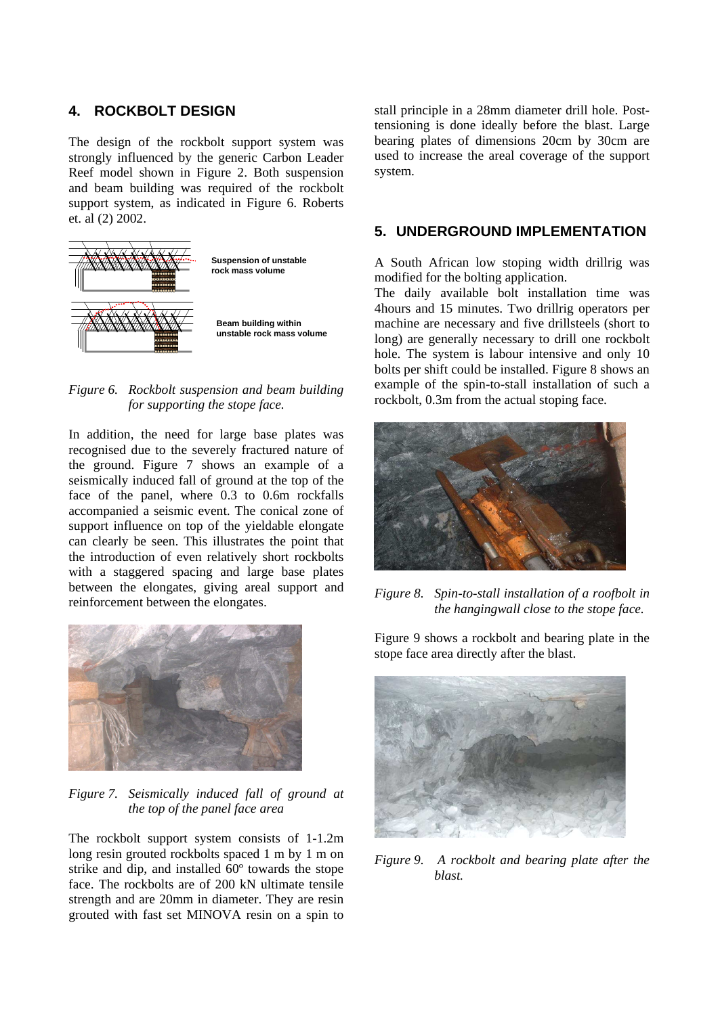#### **4. ROCKBOLT DESIGN**

The design of the rockbolt support system was strongly influenced by the generic Carbon Leader Reef model shown in Figure 2. Both suspension and beam building was required of the rockbolt support system, as indicated in Figure 6. Roberts et. al (2) 2002.



#### *Figure 6. Rockbolt suspension and beam building for supporting the stope face.*

In addition, the need for large base plates was recognised due to the severely fractured nature of the ground. Figure 7 shows an example of a seismically induced fall of ground at the top of the face of the panel, where 0.3 to 0.6m rockfalls accompanied a seismic event. The conical zone of support influence on top of the yieldable elongate can clearly be seen. This illustrates the point that the introduction of even relatively short rockbolts with a staggered spacing and large base plates between the elongates, giving areal support and reinforcement between the elongates.



*Figure 7. Seismically induced fall of ground at the top of the panel face area* 

The rockbolt support system consists of 1-1.2m long resin grouted rockbolts spaced 1 m by 1 m on strike and dip, and installed 60º towards the stope face. The rockbolts are of 200 kN ultimate tensile strength and are 20mm in diameter. They are resin grouted with fast set MINOVA resin on a spin to

stall principle in a 28mm diameter drill hole. Posttensioning is done ideally before the blast. Large bearing plates of dimensions 20cm by 30cm are used to increase the areal coverage of the support system.

### **5. UNDERGROUND IMPLEMENTATION**

A South African low stoping width drillrig was modified for the bolting application.

The daily available bolt installation time was 4hours and 15 minutes. Two drillrig operators per machine are necessary and five drillsteels (short to long) are generally necessary to drill one rockbolt hole. The system is labour intensive and only 10 bolts per shift could be installed. Figure 8 shows an example of the spin-to-stall installation of such a rockbolt, 0.3m from the actual stoping face.



*Figure 8. Spin-to-stall installation of a roofbolt in the hangingwall close to the stope face.* 

Figure 9 shows a rockbolt and bearing plate in the stope face area directly after the blast.



*Figure 9. A rockbolt and bearing plate after the blast.*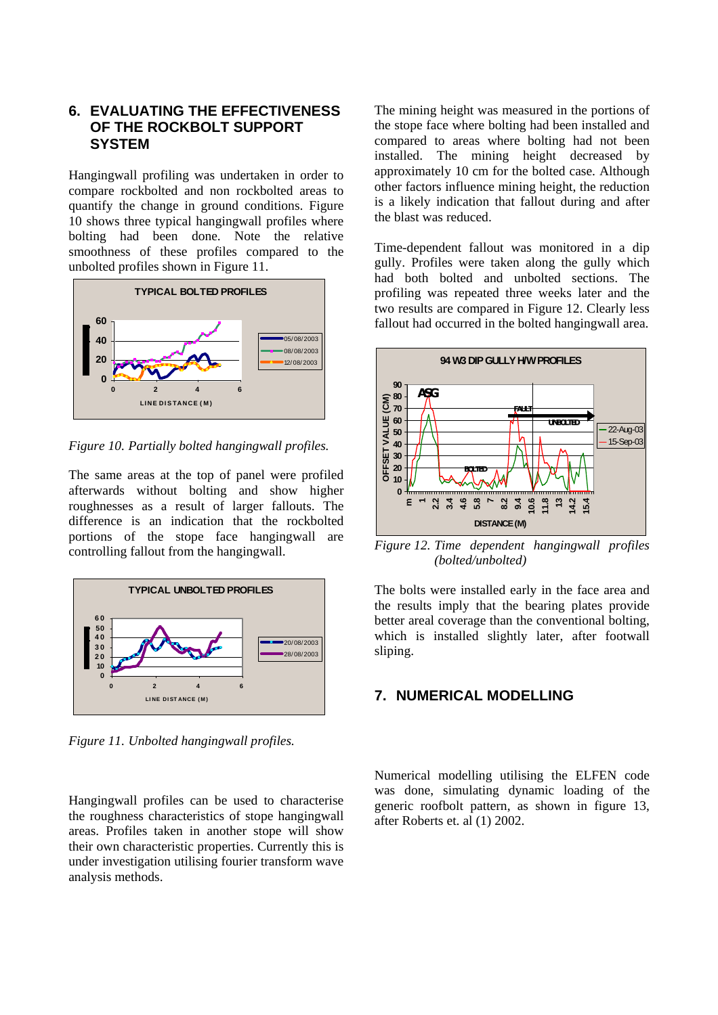## **6. EVALUATING THE EFFECTIVENESS OF THE ROCKBOLT SUPPORT SYSTEM**

Hangingwall profiling was undertaken in order to compare rockbolted and non rockbolted areas to quantify the change in ground conditions. Figure 10 shows three typical hangingwall profiles where bolting had been done. Note the relative smoothness of these profiles compared to the unbolted profiles shown in Figure 11.



*Figure 10. Partially bolted hangingwall profiles.* 

The same areas at the top of panel were profiled afterwards without bolting and show higher roughnesses as a result of larger fallouts. The difference is an indication that the rockbolted portions of the stope face hangingwall are controlling fallout from the hangingwall.



*Figure 11. Unbolted hangingwall profiles.* 

Hangingwall profiles can be used to characterise the roughness characteristics of stope hangingwall areas. Profiles taken in another stope will show their own characteristic properties. Currently this is under investigation utilising fourier transform wave analysis methods.

The mining height was measured in the portions of the stope face where bolting had been installed and compared to areas where bolting had not been installed. The mining height decreased by approximately 10 cm for the bolted case. Although other factors influence mining height, the reduction is a likely indication that fallout during and after the blast was reduced.

Time-dependent fallout was monitored in a dip gully. Profiles were taken along the gully which had both bolted and unbolted sections. The profiling was repeated three weeks later and the two results are compared in Figure 12. Clearly less fallout had occurred in the bolted hangingwall area.



*Figure 12. Time dependent hangingwall profiles (bolted/unbolted)* 

The bolts were installed early in the face area and the results imply that the bearing plates provide better areal coverage than the conventional bolting, which is installed slightly later, after footwall sliping.

# **7. NUMERICAL MODELLING**

Numerical modelling utilising the ELFEN code was done, simulating dynamic loading of the generic roofbolt pattern, as shown in figure 13, after Roberts et. al (1) 2002.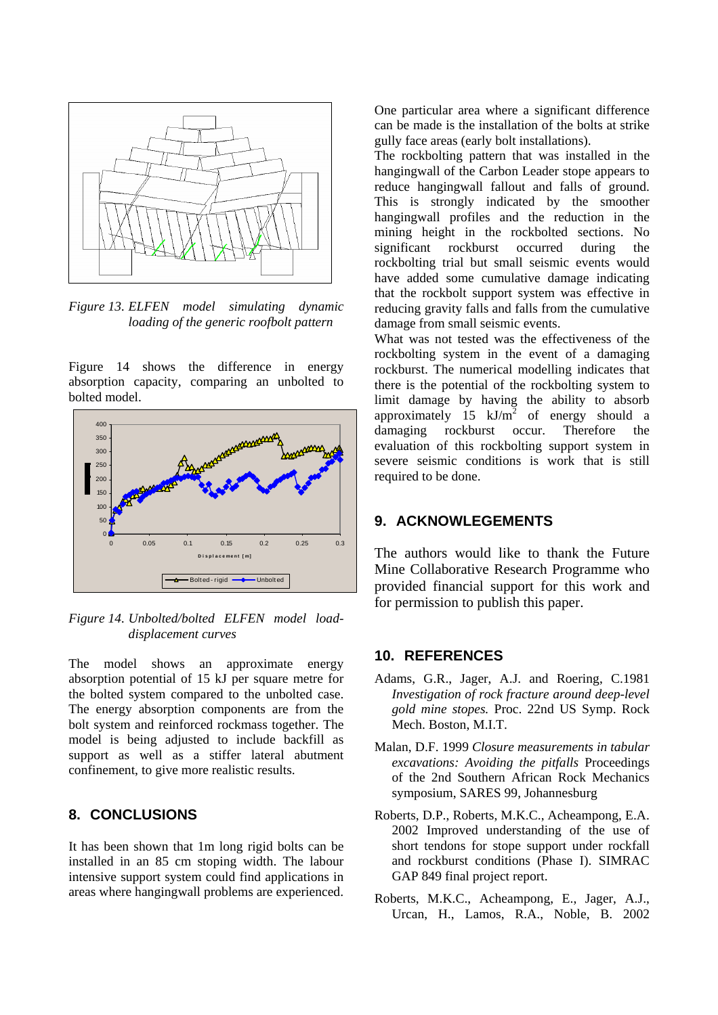

*Figure 13. ELFEN model simulating dynamic loading of the generic roofbolt pattern* 

Figure 14 shows the difference in energy absorption capacity, comparing an unbolted to bolted model.



*Figure 14. Unbolted/bolted ELFEN model loaddisplacement curves* 

The model shows an approximate energy absorption potential of 15 kJ per square metre for the bolted system compared to the unbolted case. The energy absorption components are from the bolt system and reinforced rockmass together. The model is being adjusted to include backfill as support as well as a stiffer lateral abutment confinement, to give more realistic results.

#### **8. CONCLUSIONS**

It has been shown that 1m long rigid bolts can be installed in an 85 cm stoping width. The labour intensive support system could find applications in areas where hangingwall problems are experienced.

One particular area where a significant difference can be made is the installation of the bolts at strike gully face areas (early bolt installations).

The rockbolting pattern that was installed in the hangingwall of the Carbon Leader stope appears to reduce hangingwall fallout and falls of ground. This is strongly indicated by the smoother hangingwall profiles and the reduction in the mining height in the rockbolted sections. No significant rockburst occurred during the rockbolting trial but small seismic events would have added some cumulative damage indicating that the rockbolt support system was effective in reducing gravity falls and falls from the cumulative damage from small seismic events.

What was not tested was the effectiveness of the rockbolting system in the event of a damaging rockburst. The numerical modelling indicates that there is the potential of the rockbolting system to limit damage by having the ability to absorb approximately 15  $kJ/m^2$  of energy should a damaging rockburst occur. Therefore the evaluation of this rockbolting support system in severe seismic conditions is work that is still required to be done.

#### **9. ACKNOWLEGEMENTS**

The authors would like to thank the Future Mine Collaborative Research Programme who provided financial support for this work and for permission to publish this paper.

#### **10. REFERENCES**

- Adams, G.R., Jager, A.J. and Roering, C.1981 *Investigation of rock fracture around deep-level gold mine stopes.* Proc. 22nd US Symp. Rock Mech. Boston, M.I.T.
- Malan, D.F. 1999 *Closure measurements in tabular excavations: Avoiding the pitfalls* Proceedings of the 2nd Southern African Rock Mechanics symposium, SARES 99, Johannesburg
- Roberts, D.P., Roberts, M.K.C., Acheampong, E.A. 2002 Improved understanding of the use of short tendons for stope support under rockfall and rockburst conditions (Phase I). SIMRAC GAP 849 final project report.
- Roberts, M.K.C., Acheampong, E., Jager, A.J., Urcan, H., Lamos, R.A., Noble, B. 2002